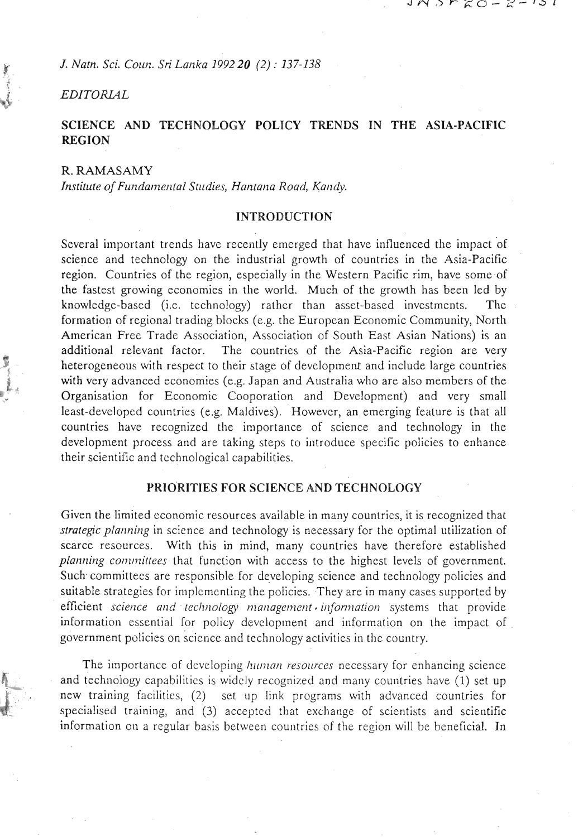**<sup>K</sup>***J. Narn. Sci. Cozin. Sri Larlka 1992 20 (2)* : *137-138* 

## **EDITORIAL**

# **SCIENCE AND TECHNOLOGY POLICY TRENDS IN THE ASIA-PACIFIC REGION**

# R. RAMASAMY

Institute of Fundamental Studies, Hantana Road, Kandy.

#### **INTRODUCTION**

Several important trends have recently emcrged that have influenced the impact of science and technology on the industrial growth of countries in the Asia-Pacific region. Countries of the region, especially in the Western Pacific rim, have some of the fastest growing economies in the world. Much of the growth has been led by knowledge-based (i.e. technology) rather than asset-based investments. formation of regional trading blocks (e.g. the European Economic Community, North American Free Trade Association, Association of South East Asian Nations) is an additional relevant factor. The countries of the Asia-Pacific region are very heterogeneous with respect to their stage of development and include large countries with very advanced economies (e.g. Japan and Australia who are also members of the Organisation for Economic Cooporation and Development) and very small least-devclopcd countries (e.g. Maldives). Howevcr, an emerging fcalure is that all countries have recognized the importance of science and technology in the development process and are taking steps to introduce specific policies to enhance their scientific and technological capabilities.

# **YKIO'RITIES FOR SCIENCE AND TECHNOLOGY**

Given the limited economic resources available in many countries, it is recognized that *strategic planning* in science and technology is necessary for the optimal utilization of scarce resources. With this in mind, many countries have therefore established *planning committees* that function with access to the highest levels of government. Such committees are responsible for developing science and technology policies and suitable strategies for implementing the policies. They are in many cases supported by *efficient science and technology management information* systems that provide information essential for policy development and information on the impact of government policies on science and technology activities in the country.

The importance of developing *human resources* necessary for enhancing science and technology capabilities is widely recognized and many countries have (1) set up , new training facilities, (2) set up link programs with advanced countries for specialised training, and (3) acceptcd that exchange of scicntists and scientific information on a regular basis between countries of the region will be beneficial. In